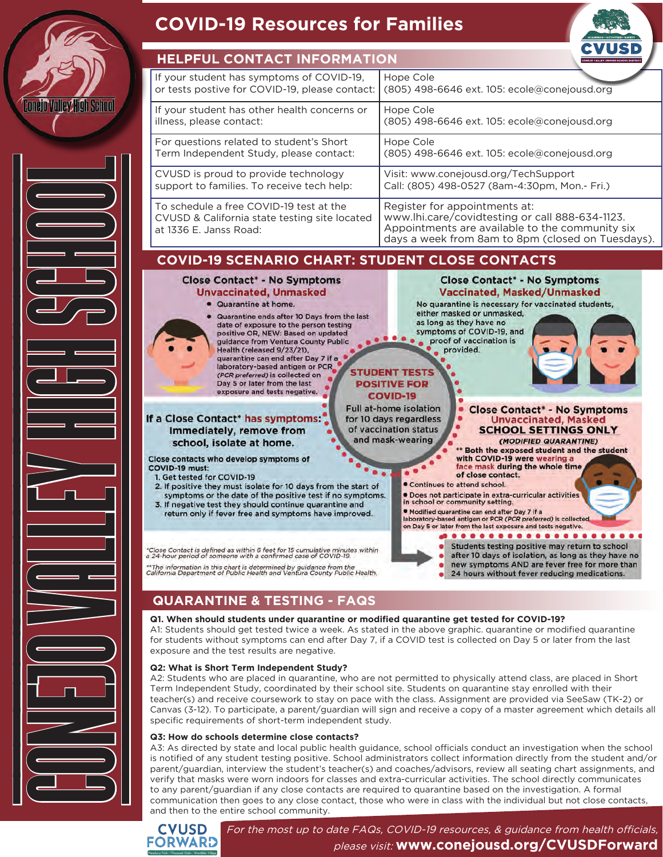

# **COVID-19 Resources for Families COVID-19 Resources for Families**



|  | If your student has symptoms of COVID-19,<br>or tests postive for COVID-19, please contact:                        | Hope Cole<br>(805) 498-6646 ext. 105: ecole@conejousd.org                                                                                                                                |
|--|--------------------------------------------------------------------------------------------------------------------|------------------------------------------------------------------------------------------------------------------------------------------------------------------------------------------|
|  | If your student has other health concerns or<br>illness, please contact:                                           | Hope Cole<br>(805) 498-6646 ext. 105: ecole@conejousd.org                                                                                                                                |
|  | For questions related to student's Short<br>Term Independent Study, please contact:                                | Hope Cole<br>(805) 498-6646 ext. 105: ecole@conejousd.org                                                                                                                                |
|  | CVUSD is proud to provide technology<br>support to families. To receive tech help:                                 | Visit: www.conejousd.org/TechSupport<br>Call: (805) 498-0527 (8am-4:30pm, Mon.- Fri.)                                                                                                    |
|  | To schedule a free COVID-19 test at the<br>CVUSD & California state testing site located<br>at 1336 E. Janss Road: | Register for appointments at:<br>www.lhi.care/covidtesting or call 888-634-1123.<br>Appointments are available to the community six<br>days a week from 8am to 8pm (closed on Tuesdays). |

### **COVID-19 SCENARIO CHART: STUDENT CLOSE CONTACTS**



## **QUARANTINE & TESTING - FAQS**

#### **Q1. When should students under quarantine or modified quarantine get tested for COVID-19?**

A1: Students should get tested twice a week. As stated in the above graphic. quarantine or modified quarantine for students without symptoms can end after Day 7, if a COVID test is collected on Day 5 or later from the last exposure and the test results are negative.

#### **Q2: What is Short Term Independent Study?**

A2: Students who are placed in quarantine, who are not permitted to physically attend class, are placed in Short Term Independent Study, coordinated by their school site. Students on quarantine stay enrolled with their teacher(s) and receive coursework to stay on pace with the class. Assignment are provided via SeeSaw (TK-2) or Canvas (3-12). To participate, a parent/guardian will sign and receive a copy of a master agreement which details all specific requirements of short-term independent study.

#### **Q3: How do schools determine close contacts?**

A3: As directed by state and local public health guidance, school officials conduct an investigation when the school is notified of any student testing positive. School administrators collect information directly from the student and/or parent/guardian, interview the student's teacher(s) and coaches/advisors, review all seating chart assignments, and verify that masks were worn indoors for classes and extra-curricular activities. The school directly communicates to any parent/guardian if any close contacts are required to quarantine based on the investigation. A formal communication then goes to any close contact, those who were in class with the individual but not close contacts, and then to the entire school community.



For the most up to date FAQs, COVID-19 resources, & guidance from health officials, please visit: **www.conejousd.org/CVUSDForward**